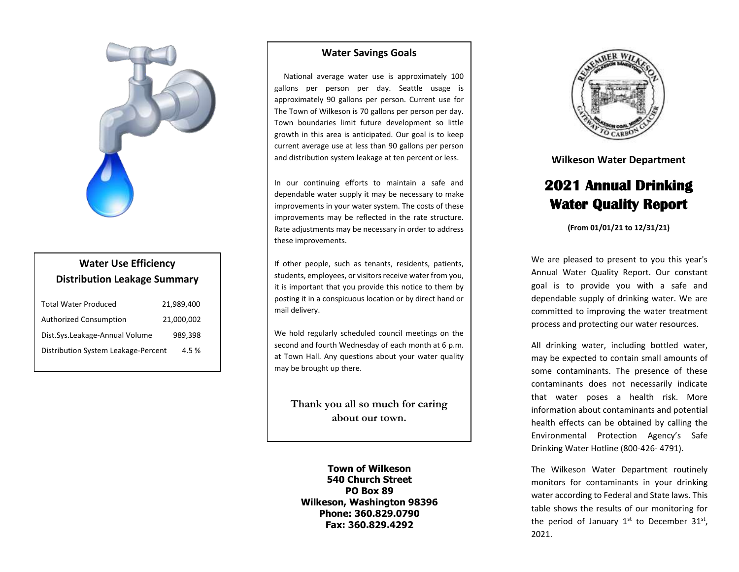

## **Water Use Efficiency Distribution Leakage Summary**

| <b>Total Water Produced</b>         | 21,989,400 |
|-------------------------------------|------------|
| <b>Authorized Consumption</b>       | 21,000,002 |
| Dist.Sys.Leakage-Annual Volume      | 989.398    |
| Distribution System Leakage-Percent | 4.5%       |

## **Water Savings Goals**

 National average water use is approximately 100 gallons per person per day. Seattle usage is approximately 90 gallons per person. Current use for The Town of Wilkeson is 70 gallons per person per day. Town boundaries limit future development so little growth in this area is anticipated. Our goal is to keep current average use at less than 90 gallons per person and distribution system leakage at ten percent or less.

In our continuing efforts to maintain a safe and dependable water supply it may be necessary to make improvements in your water system. The costs of these improvements may be reflected in the rate structure. Rate adjustments may be necessary in order to address these improvements.

If other people, such as tenants, residents, patients, students, employees, or visitors receive water from you, it is important that you provide this notice to them by posting it in a conspicuous location or by direct hand or mail delivery.

We hold regularly scheduled council meetings on the second and fourth Wednesday of each month at 6 p.m. at Town Hall. Any questions about your water quality may be brought up there.

**Thank you all so much for caring about our town.**

**Town of Wilkeson 540 Church Street PO Box 89 Wilkeson, Washington 98396 Phone: 360.829.0790 Fax: 360.829.4292**



**Wilkeson Water Department** 

## **2021 Annual Drinking Water Quality Report**

**(From 01/01/21 to 12/31/21)**

We are pleased to present to you this year's Annual Water Quality Report. Our constant goal is to provide you with a safe and dependable supply of drinking water. We are committed to improving the water treatment process and protecting our water resources.

All drinking water, including bottled water, may be expected to contain small amounts of some contaminants. The presence of these contaminants does not necessarily indicate that water poses a health risk. More information about contaminants and potential health effects can be obtained by calling the Environmental Protection Agency's Safe Drinking Water Hotline (800-426- 4791).

The Wilkeson Water Department routinely monitors for contaminants in your drinking water according to Federal and State laws. This table shows the results of our monitoring for the period of January  $1^{st}$  to December  $31^{st}$ , 2021.